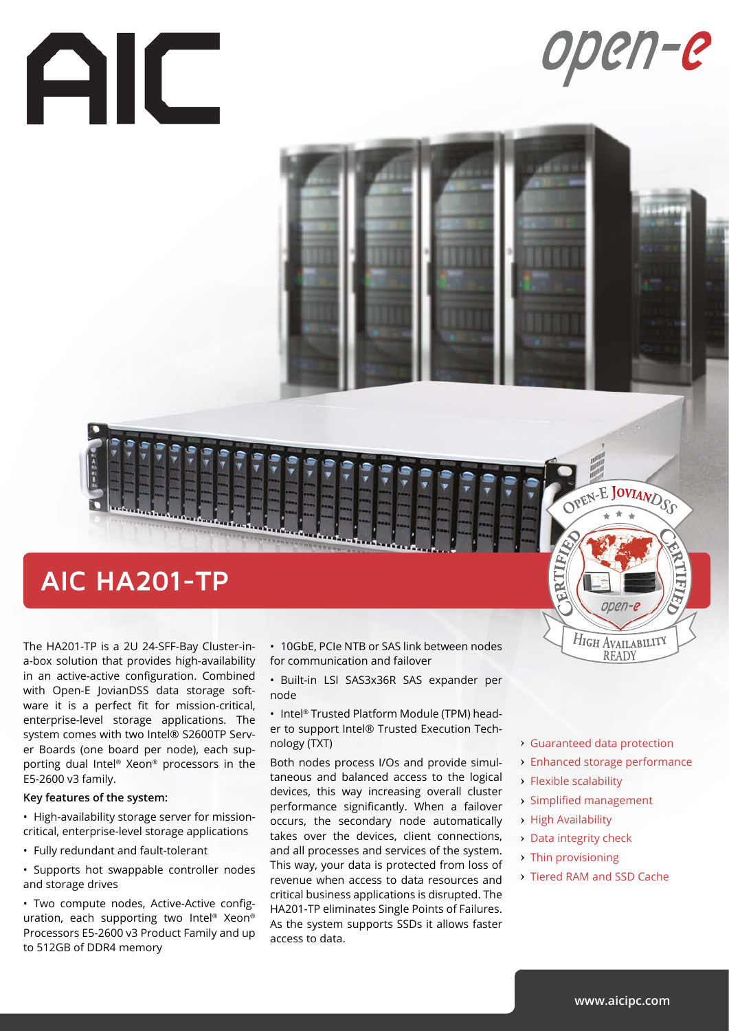# AIC

# open-e

## **AIC HA201-TP**

The HA201-TP is a 2U 24-SFF-Bay Cluster-ina-box solution that provides high-availability in an active-active configuration. Combined with Open-E JovianDSS data storage software it is a perfect fit for mission-critical, enterprise-level storage applications. The system comes with two Intel® S2600TP Server Boards (one board per node), each supporting dual Intel® Xeon® processors in the E5-2600 v3 family.

#### **Key features of the system:**

• High-availability storage server for missioncritical, enterprise-level storage applications

• Fully redundant and fault-tolerant

• Supports hot swappable controller nodes and storage drives

• Two compute nodes, Active-Active configuration, each supporting two Intel® Xeon® Processors E5-2600 v3 Product Family and up to 512GB of DDR4 memory

• 10GbE, PCIe NTB or SAS link between nodes for communication and failover

• Built-in LSI SAS3x36R SAS expander per node

• Intel® Trusted Platform Module (TPM) header to support Intel® Trusted Execution Technology (TXT)

Both nodes process I/Os and provide simultaneous and balanced access to the logical devices, this way increasing overall cluster performance significantly. When a failover occurs, the secondary node automatically takes over the devices, client connections, and all processes and services of the system. This way, your data is protected from loss of revenue when access to data resources and critical business applications is disrupted. The HA201-TP eliminates Single Points of Failures. As the system supports SSDs it allows faster access to data.

- Guaranteed data protection
- Enhanced storage performance

OPEN-E JOVIANDSS

open-e

HIGH AVAILABILITY **READY** 

Flexible scalability

BRITIFY

- Simplified management
- High Availability
- Data integrity check
- > Thin provisioning
- **Tiered RAM and SSD Cache**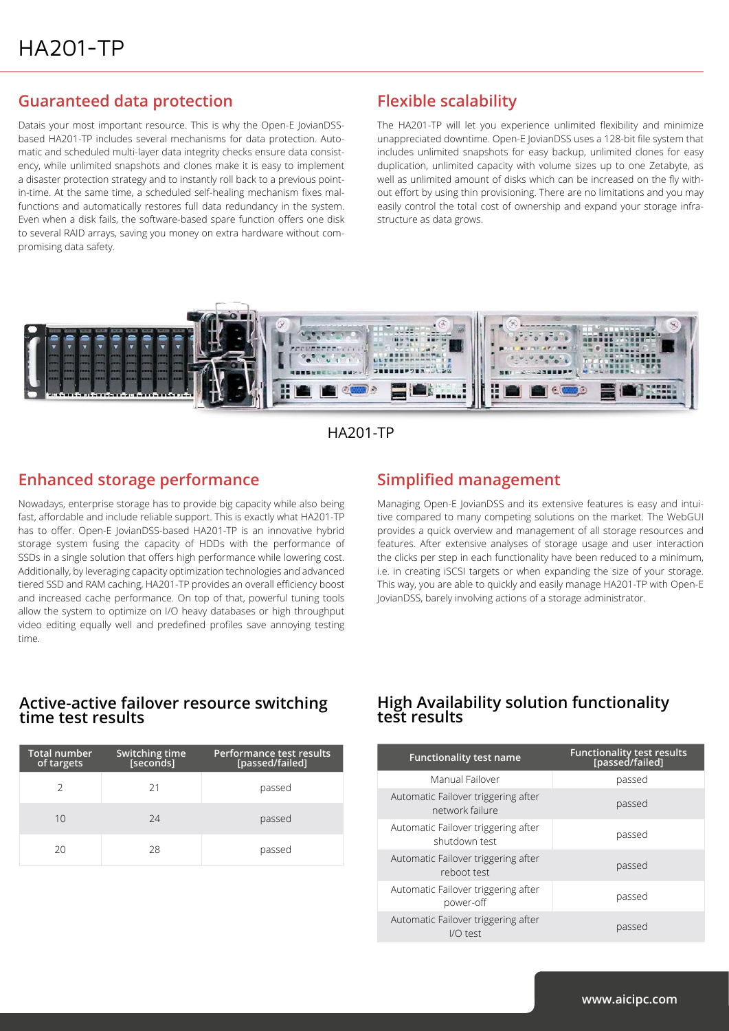#### **Guaranteed data protection**

Datais your most important resource. This is why the Open-E JovianDSSbased HA201-TP includes several mechanisms for data protection. Automatic and scheduled multi-layer data integrity checks ensure data consistency, while unlimited snapshots and clones make it is easy to implement a disaster protection strategy and to instantly roll back to a previous pointin-time. At the same time, a scheduled self-healing mechanism fixes malfunctions and automatically restores full data redundancy in the system. Even when a disk fails, the software-based spare function offers one disk to several RAID arrays, saving you money on extra hardware without compromising data safety.

#### **Flexible scalability**

The HA201-TP will let you experience unlimited flexibility and minimize unappreciated downtime. Open-E JovianDSS uses a 128-bit file system that includes unlimited snapshots for easy backup, unlimited clones for easy duplication, unlimited capacity with volume sizes up to one Zetabyte, as well as unlimited amount of disks which can be increased on the fly without effort by using thin provisioning. There are no limitations and you may easily control the total cost of ownership and expand your storage infrastructure as data grows.





#### **Enhanced storage performance**

Nowadays, enterprise storage has to provide big capacity while also being fast, affordable and include reliable support. This is exactly what HA201-TP has to offer. Open-E JovianDSS-based HA201-TP is an innovative hybrid storage system fusing the capacity of HDDs with the performance of SSDs in a single solution that offers high performance while lowering cost. Additionally, by leveraging capacity optimization technologies and advanced tiered SSD and RAM caching, HA201-TP provides an overall efficiency boost and increased cache performance. On top of that, powerful tuning tools allow the system to optimize on I/O heavy databases or high throughput video editing equally well and predefined profiles save annoying testing time.

#### **Simplified management**

Managing Open-E JovianDSS and its extensive features is easy and intuitive compared to many competing solutions on the market. The WebGUI provides a quick overview and management of all storage resources and features. After extensive analyses of storage usage and user interaction the clicks per step in each functionality have been reduced to a minimum, i.e. in creating iSCSI targets or when expanding the size of your storage. This way, you are able to quickly and easily manage HA201-TP with Open-E JovianDSS, barely involving actions of a storage administrator.

#### **test results Active-active failover resource switching time test results**

| <b>Total number</b><br>of targets | Switching time<br>[seconds] | Performance test results<br>[passed/failed] |
|-----------------------------------|-----------------------------|---------------------------------------------|
|                                   | 21                          | passed                                      |
| 10                                | 24                          | passed                                      |
| 20                                | 28                          | passed                                      |

## **High Availability solution functionality**

| <b>Functionality test name</b>                         | Functionality test results<br>[passed/failed] |  |
|--------------------------------------------------------|-----------------------------------------------|--|
| Manual Failover                                        | passed                                        |  |
| Automatic Failover triggering after<br>network failure | passed                                        |  |
| Automatic Failover triggering after<br>shutdown test   | passed                                        |  |
| Automatic Failover triggering after<br>reboot test     | passed                                        |  |
| Automatic Failover triggering after<br>power-off       | passed                                        |  |
| Automatic Failover triggering after<br>I/O test        | passed                                        |  |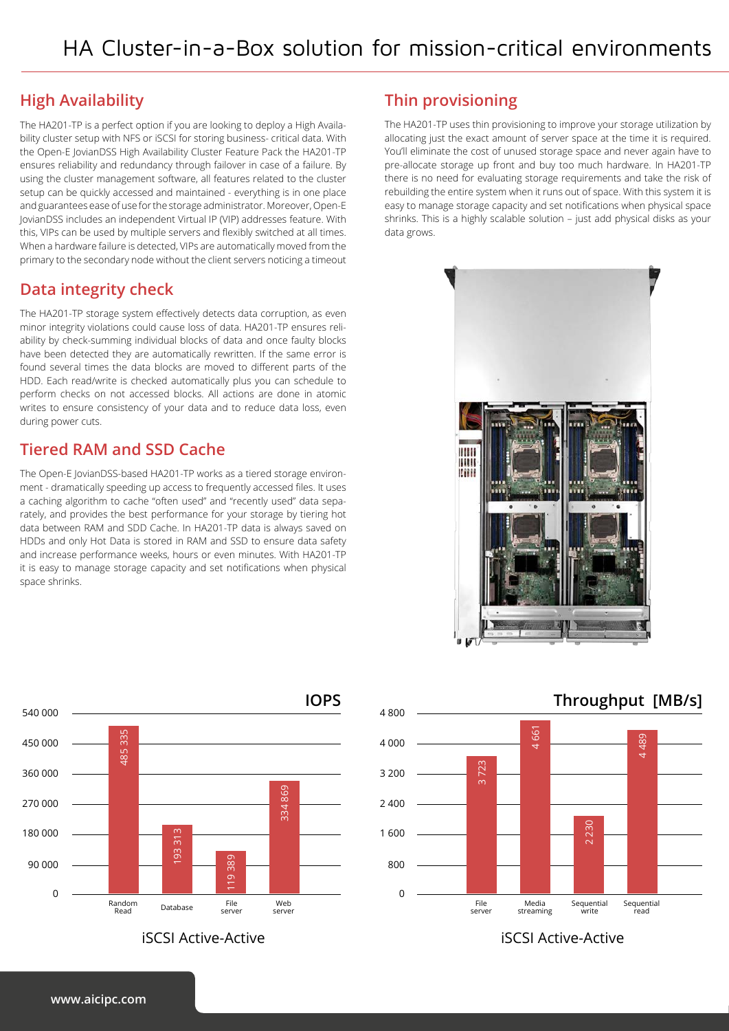#### **High Availability**

The HA201-TP is a perfect option if you are looking to deploy a High Availability cluster setup with NFS or iSCSI for storing business- critical data. With the Open-E JovianDSS High Availability Cluster Feature Pack the HA201-TP ensures reliability and redundancy through failover in case of a failure. By using the cluster management software, all features related to the cluster setup can be quickly accessed and maintained - everything is in one place and guarantees ease of use for the storage administrator. Moreover, Open-E JovianDSS includes an independent Virtual IP (VIP) addresses feature. With this, VIPs can be used by multiple servers and flexibly switched at all times. When a hardware failure is detected, VIPs are automatically moved from the primary to the secondary node without the client servers noticing a timeout

#### **Data integrity check**

The HA201-TP storage system effectively detects data corruption, as even minor integrity violations could cause loss of data. HA201-TP ensures reliability by check-summing individual blocks of data and once faulty blocks have been detected they are automatically rewritten. If the same error is found several times the data blocks are moved to different parts of the HDD. Each read/write is checked automatically plus you can schedule to perform checks on not accessed blocks. All actions are done in atomic writes to ensure consistency of your data and to reduce data loss, even during power cuts.

#### **Tiered RAM and SSD Cache**

The Open-E JovianDSS-based HA201-TP works as a tiered storage environment - dramatically speeding up access to frequently accessed files. It uses a caching algorithm to cache "often used" and "recently used" data separately, and provides the best performance for your storage by tiering hot data between RAM and SDD Cache. In HA201-TP data is always saved on HDDs and only Hot Data is stored in RAM and SSD to ensure data safety and increase performance weeks, hours or even minutes. With HA201-TP it is easy to manage storage capacity and set notifications when physical space shrinks.



#### **Thin provisioning**

The HA201-TP uses thin provisioning to improve your storage utilization by allocating just the exact amount of server space at the time it is required. You'll eliminate the cost of unused storage space and never again have to pre-allocate storage up front and buy too much hardware. In HA201-TP there is no need for evaluating storage requirements and take the risk of rebuilding the entire system when it runs out of space. With this system it is easy to manage storage capacity and set notifications when physical space shrinks. This is a highly scalable solution – just add physical disks as your data grows.





iSCSI Active-Active iSCSI Active-Active